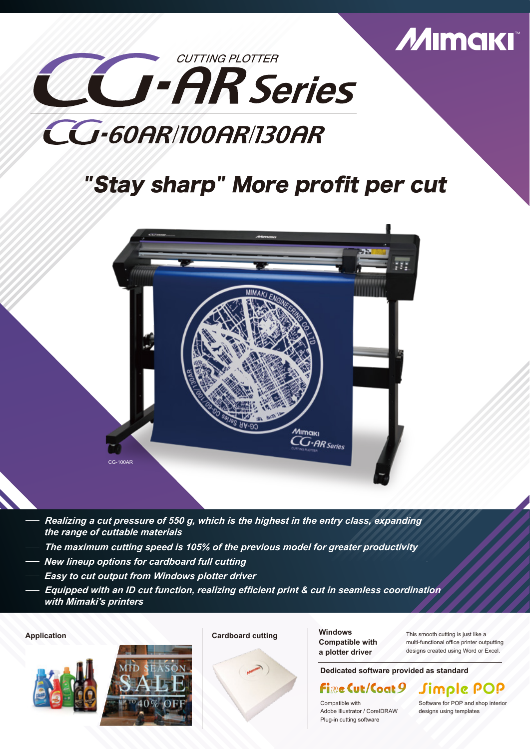

# CG-60AR/100AR/130AR

## "Stay sharp" More profit per cut



- *Realizing a cut pressure of 550 g, which is the highest in the entry class, expanding the range of cuttable materials*
- *The maximum cutting speed is 105% of the previous model for greater productivity*
- *New lineup options for cardboard full cutting*
- *Easy to cut output from Windows plotter driver*
- *Equipped with an ID cut function, realizing efficient print & cut in seamless coordination with Mimaki's printers*

**Application Cardboard cutting**







**Windows Compatible with a plotter driver**

This smooth cutting is just like a multi-functional office printer outputting designs created using Word or Excel.

**Dedicated software provided as standard**

## FimeCut/Coat 9 Simple POP

Compatible with Adobe Illustrator / CoreIDRAW Plug-in cutting software

Software for POP and shop interior designs using templates